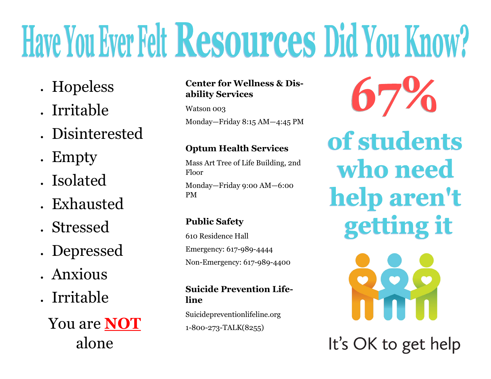# Have You Ever Felt Resources Did You Know?

- Hopeless
- Irritable
- Disinterested
- Empty
- Isolated
- Exhausted
- Stressed
- Depressed
- Anxious
- Irritable

You are **NOT** alone

### **Center for Wellness & Disability Services**

Watson 003

Monday—Friday 8:15 AM—4:45 PM

### **Optum Health Services**

Mass Art Tree of Life Building, 2nd Floor Monday—Friday 9:00 AM—6:00 PM

## **Public Safety**

610 Residence Hall Emergency: 617-989-4444 Non-Emergency: 617-989-4400

#### **Suicide Prevention Lifeline**

Suicidepreventionlifeline.org 1-800-273-TALK(8255)

of students who need help aren't getting it

It's OK to get help